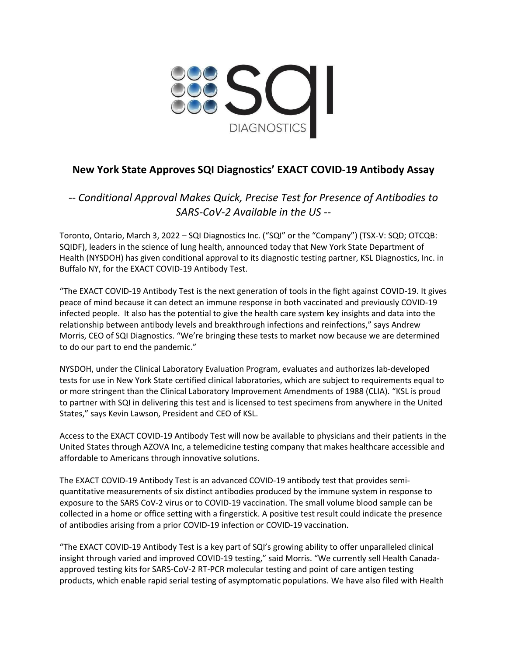

# **New York State Approves SQI Diagnostics' EXACT COVID-19 Antibody Assay**

*-- Conditional Approval Makes Quick, Precise Test for Presence of Antibodies to SARS-CoV-2 Available in the US --*

Toronto, Ontario, March 3, 2022 – SQI Diagnostics Inc. ("SQI" or the "Company") (TSX-V: SQD; OTCQB: SQIDF), leaders in the science of lung health, announced today that New York State Department of Health (NYSDOH) has given conditional approval to its diagnostic testing partner, KSL Diagnostics, Inc. in Buffalo NY, for the EXACT COVID-19 Antibody Test.

"The EXACT COVID-19 Antibody Test is the next generation of tools in the fight against COVID-19. It gives peace of mind because it can detect an immune response in both vaccinated and previously COVID-19 infected people. It also has the potential to give the health care system key insights and data into the relationship between antibody levels and breakthrough infections and reinfections," says Andrew Morris, CEO of SQI Diagnostics. "We're bringing these tests to market now because we are determined to do our part to end the pandemic."

NYSDOH, under the Clinical Laboratory Evaluation Program, evaluates and authorizes lab-developed tests for use in New York State certified clinical laboratories, which are subject to requirements equal to or more stringent than the Clinical Laboratory Improvement Amendments of 1988 (CLIA). "KSL is proud to partner with SQI in delivering this test and is licensed to test specimens from anywhere in the United States," says Kevin Lawson, President and CEO of KSL.

Access to the EXACT COVID-19 Antibody Test will now be available to physicians and their patients in the United States through AZOVA Inc, a telemedicine testing company that makes healthcare accessible and affordable to Americans through innovative solutions.

The EXACT COVID-19 Antibody Test is an advanced COVID-19 antibody test that provides semiquantitative measurements of six distinct antibodies produced by the immune system in response to exposure to the SARS CoV-2 virus or to COVID-19 vaccination. The small volume blood sample can be collected in a home or office setting with a fingerstick. A positive test result could indicate the presence of antibodies arising from a prior COVID-19 infection or COVID-19 vaccination.

"The EXACT COVID-19 Antibody Test is a key part of SQI's growing ability to offer unparalleled clinical insight through varied and improved COVID-19 testing," said Morris. "We currently sell Health Canadaapproved testing kits for SARS-CoV-2 RT-PCR molecular testing and point of care antigen testing products, which enable rapid serial testing of asymptomatic populations. We have also filed with Health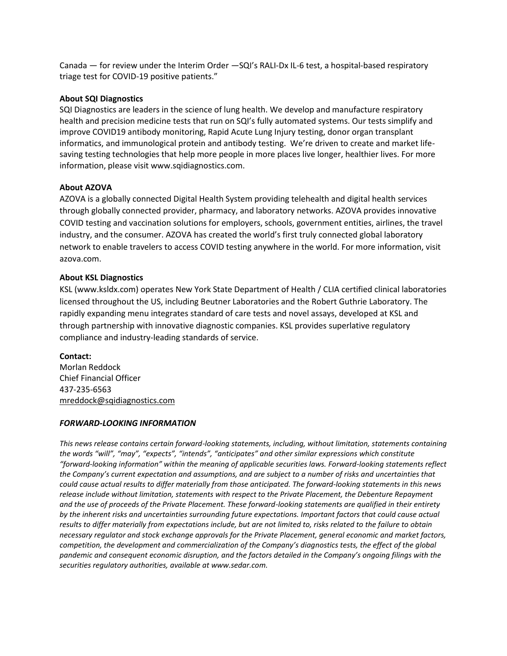Canada — for review under the Interim Order —SQI's RALI-Dx IL-6 test, a hospital-based respiratory triage test for COVID-19 positive patients."

## **About SQI Diagnostics**

SQI Diagnostics are leaders in the science of lung health. We develop and manufacture respiratory health and precision medicine tests that run on SQI's fully automated systems. Our tests simplify and improve COVID19 antibody monitoring, Rapid Acute Lung Injury testing, donor organ transplant informatics, and immunological protein and antibody testing. We're driven to create and market lifesaving testing technologies that help more people in more places live longer, healthier lives. For more information, please visit www.sqidiagnostics.com.

## **About AZOVA**

AZOVA is a globally connected Digital Health System providing telehealth and digital health services through globally connected provider, pharmacy, and laboratory networks. AZOVA provides innovative COVID testing and vaccination solutions for employers, schools, government entities, airlines, the travel industry, and the consumer. AZOVA has created the world's first truly connected global laboratory network to enable travelers to access COVID testing anywhere in the world. For more information, visit azova.com.

## **About KSL Diagnostics**

KSL (www.ksldx.com) operates New York State Department of Health / CLIA certified clinical laboratories licensed throughout the US, including Beutner Laboratories and the Robert Guthrie Laboratory. The rapidly expanding menu integrates standard of care tests and novel assays, developed at KSL and through partnership with innovative diagnostic companies. KSL provides superlative regulatory compliance and industry-leading standards of service.

#### **Contact:**

Morlan Reddock Chief Financial Officer 437-235-6563 [mreddock@sqidiagnostics.com](mailto:mreddock@sqidiagnostics.com)

#### *FORWARD-LOOKING INFORMATION*

*This news release contains certain forward-looking statements, including, without limitation, statements containing the words "will", "may", "expects", "intends", "anticipates" and other similar expressions which constitute "forward-looking information" within the meaning of applicable securities laws. Forward-looking statements reflect the Company's current expectation and assumptions, and are subject to a number of risks and uncertainties that could cause actual results to differ materially from those anticipated. The forward-looking statements in this news release include without limitation, statements with respect to the Private Placement, the Debenture Repayment and the use of proceeds of the Private Placement. These forward-looking statements are qualified in their entirety by the inherent risks and uncertainties surrounding future expectations. Important factors that could cause actual results to differ materially from expectations include, but are not limited to, risks related to the failure to obtain necessary regulator and stock exchange approvals for the Private Placement, general economic and market factors, competition, the development and commercialization of the Company's diagnostics tests, the effect of the global pandemic and consequent economic disruption, and the factors detailed in the Company's ongoing filings with the securities regulatory authorities, available at www.sedar.com.*